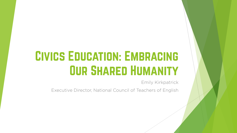## Civics Education: Embracing **OUR SHARED HUMANITY**

Emily Kirkpatrick

Executive Director, National Council of Teachers of English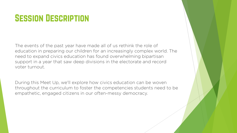## **SESSION DESCRIPTION**

The events of the past year have made all of us rethink the role of education in preparing our children for an increasingly complex world. The need to expand civics education has found overwhelming bipartisan support in a year that saw deep divisions in the electorate and record voter turnout.

During this Meet Up, we'll explore how civics education can be woven throughout the curriculum to foster the competencies students need to be empathetic, engaged citizens in our often-messy democracy.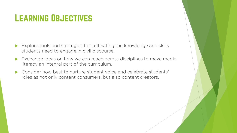## LEARNING OBJECTIVES

- Explore tools and strategies for cultivating the knowledge and skills students need to engage in civil discourse.
- Exchange ideas on how we can reach across disciplines to make media literacy an integral part of the curriculum.
- Consider how best to nurture student voice and celebrate students' roles as not only content consumers, but also content creators.